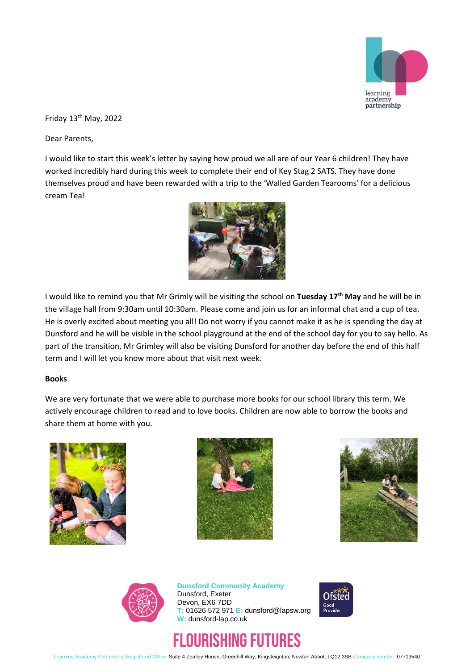

Friday 13<sup>th</sup> May, 2022

Dear Parents,

I would like to start this week's letter by saying how proud we all are of our Year 6 children! They have worked incredibly hard during this week to complete their end of Key Stag 2 SATS. They have done themselves proud and have been rewarded with a trip to the 'Walled Garden Tearooms' for a delicious cream Tea!



I would like to remind you that Mr Grimly will be visiting the school on **Tuesday 17th May** and he will be in the village hall from 9:30am until 10:30am. Please come and join us for an informal chat and a cup of tea. He is overly excited about meeting you all! Do not worry if you cannot make it as he is spending the day at Dunsford and he will be visible in the school playground at the end of the school day for you to say hello. As part of the transition, Mr Grimley will also be visiting Dunsford for another day before the end of this half term and I will let you know more about that visit next week.

### **Books**

We are very fortunate that we were able to purchase more books for our school library this term. We actively encourage children to read and to love books. Children are now able to borrow the books and share them at home with you.









**Dunsford Community Academy** Dunsford, Exeter Devon, EX6 7DD **T:** 01626 572 971 **E:** dunsford@lapsw.org **W:** dunsford-lap.co.uk

# FLOURISHING FUTURES



Learning Academy Partnership Registered Office: Suite 4 Zealley House, Greenhill Way, Kingsteignton, Newton Abbot, TQ12 3SB Company number: 07713540